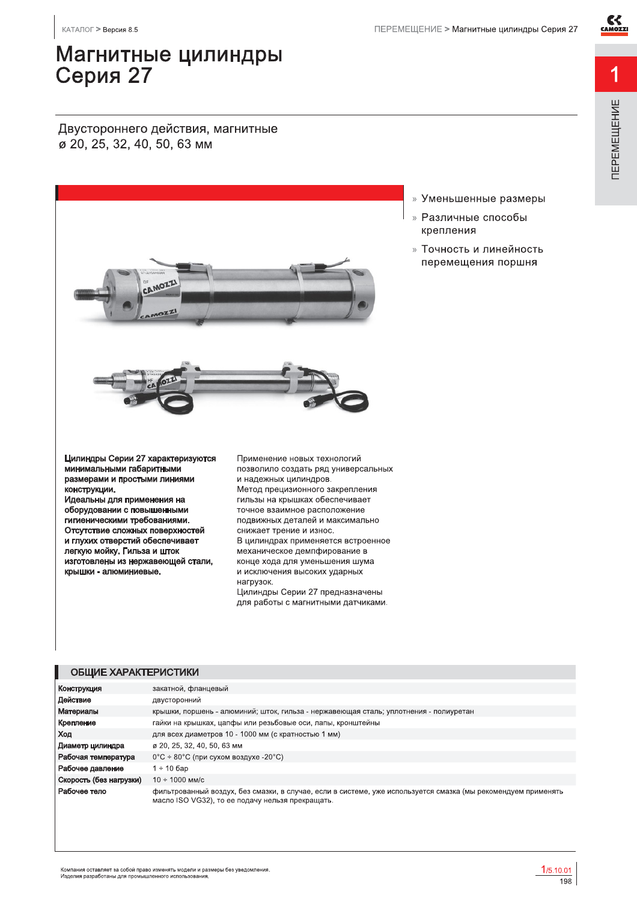ПЕРЕМЕЩЕНИЕ

## Магнитные цилиндры Серия 27

Двустороннего действия, магнитные ø 20, 25, 32, 40, 50, 63 мм



- » Уменьшенные размеры
- » Различные способы крепления
- » Точность и линейность перемещения поршня

Цилиндры Серии 27 характеризуются минимальными габаритными размерами и простыми линиями конструкции.

Идеальны для применения на оборудовании с повышенными гигиеническими требованиями. Отсутствие сложных поверхностей и глухих отверстий обеспечивает легкую мойку. Гильза и шток изготовлены из нержавеющей стали, крышки - алюминиевые.

Применение новых технологий позволило создать ряд универсальных и надежных цилиндров. Метод прецизионного закрепления гильзы на крышках обеспечивает точное взаимное расположение подвижных деталей и максимально снижает трение и износ. В цилиндрах применяется встроенное механическое демпфирование в конце хода для уменьшения шума и исключения высоких ударных нагрузок. Цилиндры Серии 27 предназначены для работы с магнитными датчиками.

### ОБЩИЕ ХАРАКТЕРИСТИКИ

| Конструкция             | закатной, фланцевый                                                                                                                                               |
|-------------------------|-------------------------------------------------------------------------------------------------------------------------------------------------------------------|
| Действие                | двусторонний                                                                                                                                                      |
| Материалы               | крышки, поршень - алюминий; шток, гильза - нержавеющая сталь; уплотнения - полиуретан                                                                             |
| Крепление               | гайки на крышках, цапфы или резьбовые оси, лапы, кронштейны                                                                                                       |
| Ход                     | для всех диаметров 10 - 1000 мм (с кратностью 1 мм)                                                                                                               |
| Диаметр цилиндра        | ø 20, 25, 32, 40, 50, 63 мм                                                                                                                                       |
| Рабочая температура     | $0^{\circ}$ С ÷ 80 $^{\circ}$ С (при сухом воздухе -20 $^{\circ}$ С)                                                                                              |
| Рабочее давление        | 1 ÷ 10 бар                                                                                                                                                        |
| Скорость (без нагрузки) | $10 \div 1000$ MM/c                                                                                                                                               |
| Рабочее тело            | фильтрованный воздух, без смазки, в случае, если в системе, уже используется смазка (мы рекомендуем применять<br>масло ISO VG32), то ее подачу нельзя прекращать. |

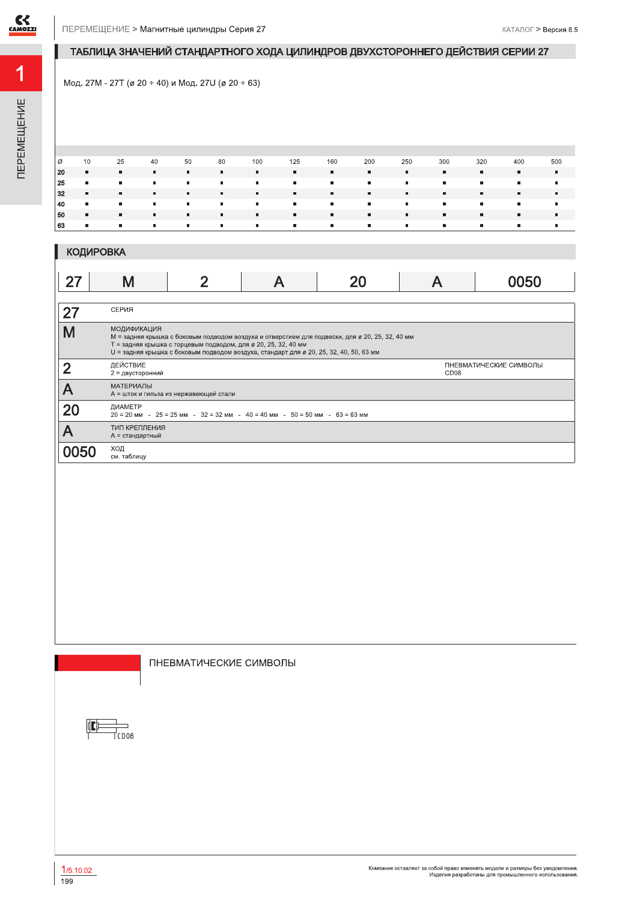

## ТАБЛИЦА ЗНАЧЕНИЙ СТАНДАРТНОГО ХОДА ЦИЛИНДРОВ ДВУХСТОРОННЕГО ДЕЙСТВИЯ СЕРИИ 27

Мод. 27М - 27Т (ø 20 ÷ 40) и Мод. 27U (ø 20 ÷ 63)

| l Ø | 10                       | 25             | 40                                                                                                                    | 50             | 80           | 100            | 125            | 160                      | 200                     | 250            | 300       | 320            | 400            | 500            |
|-----|--------------------------|----------------|-----------------------------------------------------------------------------------------------------------------------|----------------|--------------|----------------|----------------|--------------------------|-------------------------|----------------|-----------|----------------|----------------|----------------|
| 20  | <b>Burney</b>            | $\blacksquare$ | л.                                                                                                                    | $\mathbf{u}$ . | л.           | $\blacksquare$ | л.             | <b>ALC</b>               | $\blacksquare$          | ж.             | л.        | $\blacksquare$ | л.             |                |
| 25  | <b>COLL</b>              | $\blacksquare$ | $\mathbf{m}$                                                                                                          | $\mathbf{H}$ . | <b>COLOR</b> | л.             | л.             | <b>COLLEGE</b>           | $\mathbf{H}$ .          | m.             | and the   | л.             | $\sim$         | л.             |
| 32  | <b>Burney</b>            | л.             | . н. н.                                                                                                               | л.             | <b>ALC</b>   | $\mathbf{u}$ . | $\mathbf{u}$   | . н. н.                  | л.                      | л.             | л.        | л.             | л.             | $\blacksquare$ |
| 40  | <b>Contract Contract</b> | $\blacksquare$ | <b>A</b>                                                                                                              | <b>COLOR</b>   | <b>COLOR</b> | л.             | л.             | <b>Contract Contract</b> | $\blacksquare$          | $\blacksquare$ | <b>п.</b> | л.             | $\mathbf{u}$   | л.             |
| 50  | <b>COLLEGE</b>           | m.             | л.                                                                                                                    | л.             | $\mathbf{u}$ | л.             | л.             | and in                   | $\mathbf{m}_\mathrm{c}$ | л.             | л.        | л.             | л.             |                |
| 63  | <b>COL</b>               | $\blacksquare$ | <b>The Contract of the Contract of the Contract of the Contract of the Contract of the Contract of the Contract o</b> | $\mathbf{u}$ . | <b>COLOR</b> | л.             | $\blacksquare$ | <b>COLOR</b>             | $\blacksquare$          | л.             | л.        | л.             | $\blacksquare$ |                |
|     |                          |                |                                                                                                                       |                |              |                |                |                          |                         |                |           |                |                |                |

|    | <b>КОДИРОВКА</b>             |                                                                |                                                                                        |                                                                                                 |                  |                        |
|----|------------------------------|----------------------------------------------------------------|----------------------------------------------------------------------------------------|-------------------------------------------------------------------------------------------------|------------------|------------------------|
| 27 | Μ                            |                                                                |                                                                                        |                                                                                                 |                  | 0050                   |
|    | СЕРИЯ                        |                                                                |                                                                                        |                                                                                                 |                  |                        |
|    | <b>МОДИФИКАЦИЯ</b>           | Т = задняя крышка с торцевым подводом, для ø 20, 25, 32, 40 мм | U = задняя крышка с боковым подводом воздуха, стандарт для ø 20, 25, 32, 40, 50, 63 мм | М = задняя крышка с боковым подводом воздуха и отверстием для подвески, для ø 20, 25, 32, 40 мм |                  |                        |
|    | ДЕЙСТВИЕ<br>2 = двусторонний |                                                                |                                                                                        |                                                                                                 | CD <sub>08</sub> | ПНЕВМАТИЧЕСКИЕ СИМВОЛЫ |
|    | <b>МАТЕРИАЛЫ</b>             | А = шток и гильза из нержавеющей стали                         |                                                                                        |                                                                                                 |                  |                        |

ПНЕВМАТИЧЕСКИЕ СИМВОЛЫ

 $\mu$ <br>
20 = 20 мм - 25 = 25 мм - 32 = 32 мм - 40 = 40 мм - 50 = 50 мм - 63 = 63 мм



20

 $\overline{\mathsf{A}}$ 

0050

ТИП КРЕПЛЕНИЯ

А = стандартный ХОД<br>см. таблицу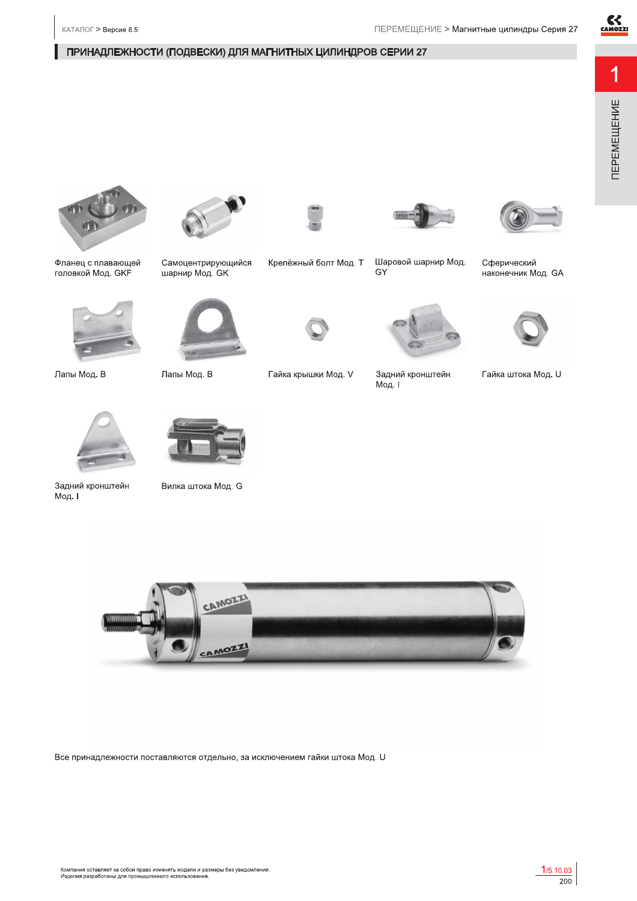$C<sub>GAMOZZI</sub>$ 

1

### ПРИНАДЛЕЖНОСТИ (ПОДВЕСКИ) ДЛЯ МАГНИТНЫХ ЦИЛИНДРОВ СЕРИИ 27



наконечник Мод. GA









Самоцентрирующийся

шарнир Мод. GK

Лапы Мод. В



Гайка крышки Мод. V

Крепёжный болт Мод. Т



Шаровой шарнир Мод.

GY

Задний кронштейн Мод. I

Гайка штока Мод. U



Фланец с плавающей

головкой Мод. GKF

Лапы Мод. В

КАТАЛОГ > Версия 8.5

Задний кронштейн Мод. I



Вилка штока Мод. G



Все принадлежности поставляются отдельно, за исключением гайки штока Мод. U

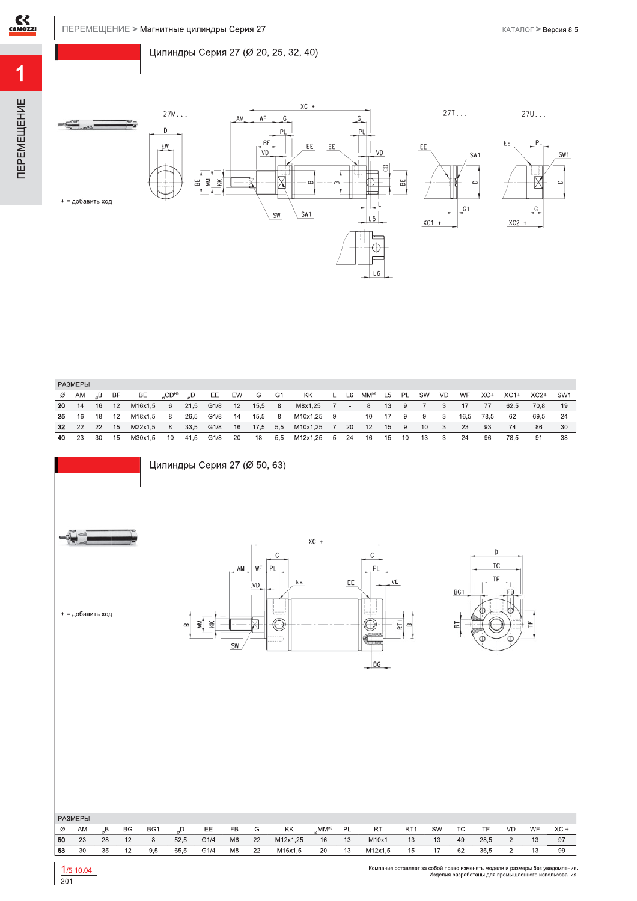### Цилиндры Серия 27 (Ø 20, 25, 32, 40)











 $270...$ 

| РАЗМЕРЫ |  |
|---------|--|

| Ø  | AM | $\mathbb{R}^{\mathbf{B}}$ | <b>BF</b> | BE        | $_{\alpha}$ CD <sup>H9</sup> | $_{\alpha}D$ | EE                  | EW | G  | G1 | KK                     |  | L L6 MM <sup>h9</sup> L5 PL |      | <b>SW</b> | VD                      | WF   | $XC+$ | $XC1+$ | XC2+ | SW1  |
|----|----|---------------------------|-----------|-----------|------------------------------|--------------|---------------------|----|----|----|------------------------|--|-----------------------------|------|-----------|-------------------------|------|-------|--------|------|------|
| 20 | 14 |                           | 16 12     | M16x1.5   | 6                            |              | 21,5 G1/8 12 15,5 8 |    |    |    | M8x1,25 7 - 8 13 9     |  |                             |      |           |                         |      |       | 62.5   | 70.8 | - 19 |
| 25 |    | 16 18                     | 12        | M18x1.5 8 |                              |              | 26.5 G1/8 14 15.5 8 |    |    |    | M10x1.25 9 - 10 17 9   |  |                             |      | - 9       | $\sim$ 3                | 16.5 | 78.5  | - 62   | 69.5 |      |
| 32 | 22 | 22                        | - 15      | M22x1.5   | - 8                          |              | 33,5 G1/8 16        |    |    |    | 17.5 5.5 M10x1.25 7 20 |  | 12                          | 15 9 | 10        | $\overline{\textbf{3}}$ | -23  | 93    | 74     | 86   | -30  |
| 40 | 23 | 30                        | 15        | M30x1.5   | 10                           |              | 41,5 G1/8 20        |    | 18 |    | 5.5 M12x1.25 5 24      |  | 16 15 10                    |      | - 13      |                         | -24  | 96    | 78.5   | -91  | 38   |



|    | <b>РАЗМЕРЫ</b> |    |           |     |      |      |                |    |          |       |           |           |                 |    |    |      |    |    |        |
|----|----------------|----|-----------|-----|------|------|----------------|----|----------|-------|-----------|-----------|-----------------|----|----|------|----|----|--------|
| Ø  | AM             | R  | <b>BG</b> | BG1 |      | EE   | FB             | G  | KK       | .MMh9 | <b>PL</b> | <b>RT</b> | RT <sup>-</sup> | SW | TC | TF   | VD | WF | $XC +$ |
| 50 | 23             | 28 | 12        | 8   | 52.5 | G1/4 | M <sub>6</sub> | 22 | M12x1.25 | 16    | 13        | M10x1     | 13              | 13 | 49 | 28.5 |    |    | 97     |
| 63 | 30             | 35 | 12        | 9.5 | 65.5 | G1/4 | M8             | 22 | M16x1.5  | 20    | 13        | M12x1.5   | 15              |    | 62 | 35,5 |    |    | 99     |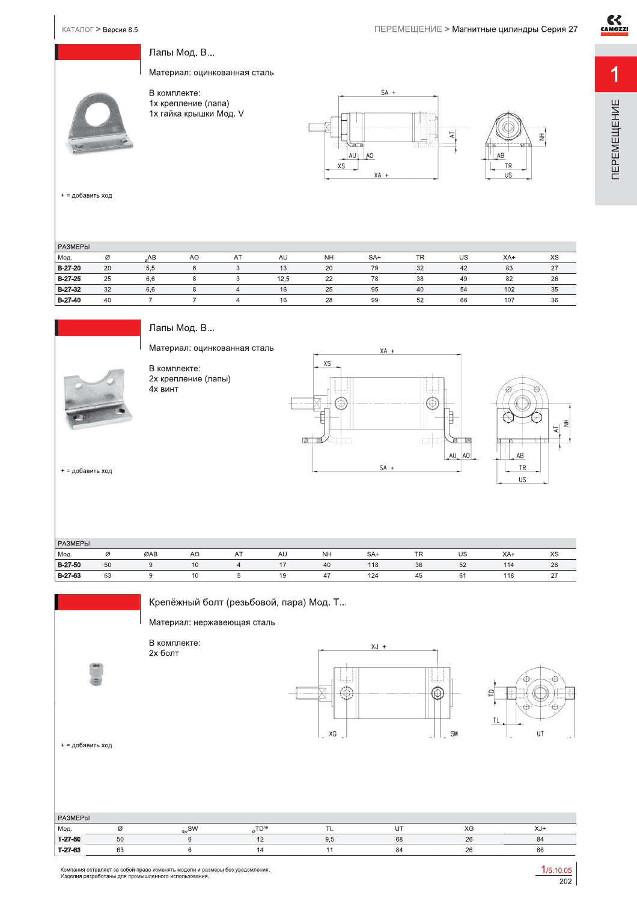ПЕРЕМЕЩЕНИЕ

# Лапы Мод. В...

Материал: оцинкованная сталь

В комплекте: в компискто.<br>1х крепление (лапа)<br>1х гайка крышки Мод. V



+ = добавить ход

| <b>РАЗМЕРЫ</b> |    |     |    |    |      |           |       |           |    |       |    |
|----------------|----|-----|----|----|------|-----------|-------|-----------|----|-------|----|
| Мод.           | Ø  | AB  | AO | AT | AU   | <b>NH</b> | $SA+$ | <b>TR</b> | US | $XA+$ | XS |
| $B-27-20$      | 20 | 5.5 |    |    | 13   | 20        | 79    | 32        | 42 | 83    | 27 |
| B-27-25        | 25 | 6.6 |    |    | 12,5 | 22        | 78    | 38        | 49 | 82    | 26 |
| B-27-32        | 32 | 6.6 |    |    | 16   | 25        | 95    | 40        | 54 | 102   | 35 |
| B-27-40        | 40 |     |    |    | 16   | 28        | 99    | 52        | 66 | 107   | 36 |



Лапы Мод. В...

Материал: оцинкованная сталь

В комплекте: 2х крепление (лапы) 4х винт





+ = добавить ход

| <b>РАЗМЕРЫ</b> |    |     |    |    |    |                       |       |           |    |     |      |
|----------------|----|-----|----|----|----|-----------------------|-------|-----------|----|-----|------|
| Мод.           | Ø  | ØAB | AO | AT | AU | <b>NH</b>             | $SA+$ | <b>TR</b> | US | XA+ | XS   |
| B-27-50        | 50 |     | 10 |    |    | 40                    | 118   | 36        | 52 | 114 | 26   |
| B-27-63        | 63 |     | 10 |    | 19 | $A \rightarrow$<br>41 | 124   | 45        | 61 | 118 | ا ہے |

Крепёжный болт (резьбовой, пара) Мод. Т...

Материал: нержавеющая сталь

В комплекте: 2х болт





+ = добавить ход

| <b>РАЗМЕРЫ</b> |    |                |                  |     |                 |    |       |
|----------------|----|----------------|------------------|-----|-----------------|----|-------|
| Мод.           |    | $_{\rm sw}$ SW | T <sub>th9</sub> |     | $U^{\intercal}$ | XG | $XJ+$ |
| T-27-50        | 50 |                |                  | 9.5 | 68              | 26 | 84    |
| T-27-63        | 63 |                | 14               |     | 84              | 26 | 86    |

Компания оставляет за собой право изменять модели и размеры без уведомления.<br>Изделия разработаны для промышленного использования.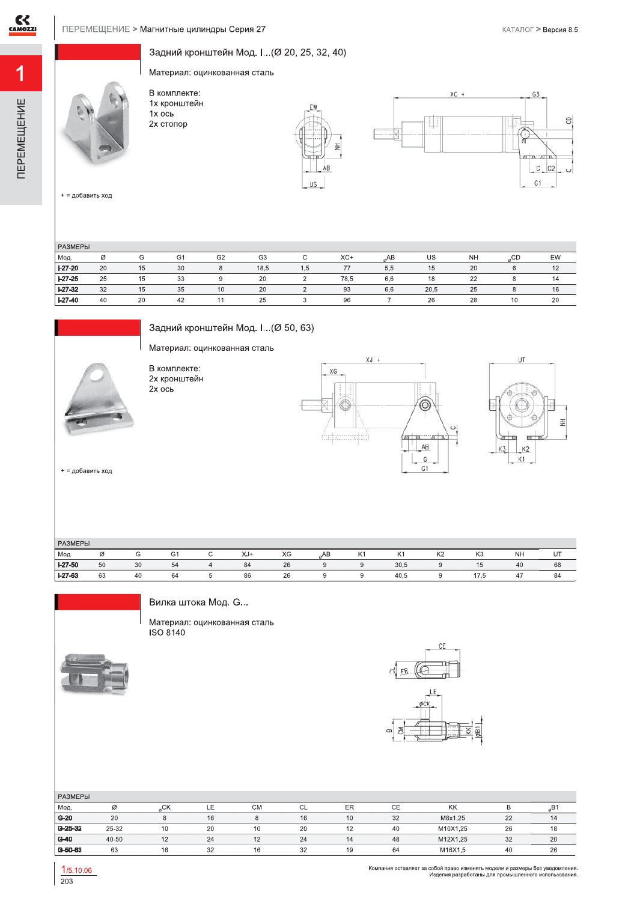**TEPEMELLEHVE** 

Задний кронштейн Мод. I... (Ø 20, 25, 32, 40)

Материал: оцинкованная сталь

В комплекте: 1х кронштейн  $1x$  ось 2х стопор





+ = добавить ход

| PA3MEPH   |    |    |                |                |                |     |       |            |      |           |    |    |
|-----------|----|----|----------------|----------------|----------------|-----|-------|------------|------|-----------|----|----|
| Мод.      | Ø  | G  | G <sub>1</sub> | G <sub>2</sub> | G <sub>3</sub> |     | $XC+$ | AB         | US   | <b>NH</b> | CD | EW |
| $I-27-20$ | 20 | 15 | 30             |                | 18.5           | 1.5 | 77    | - -<br>5.5 | 15   | 20        |    |    |
| $I-27-25$ | 25 | 15 | 33             |                | 20             |     | 78,5  | 6.6        | 18   | 22        |    | 14 |
| $I-27-32$ | 32 | 15 | 35             | 10             | 20             |     | 93    | 6.6        | 20,5 | 25        |    | 16 |
| $I-27-40$ | 40 | 20 | 42             |                | 25             |     | 96    |            | 26   | 28        | 10 | 20 |



Задний кронштейн Мод. I... (Ø 50, 63)

Материал: оцинкованная сталь

В комплекте: 2х кронштейн<br>2х ось





+ = добавить ход

| РАЗМЕРЫ   |    |    |              |     |    |    |                |      |                |                |           |    |
|-----------|----|----|--------------|-----|----|----|----------------|------|----------------|----------------|-----------|----|
| Мод.      | Ø  | G  | $\sim$<br>G1 | XJ+ | XG | AB | K <sub>1</sub> | K1   | K <sub>2</sub> | K <sub>3</sub> | <b>NH</b> | UT |
| $1-27-50$ | 50 | 30 | 54           | 84  | 26 |    | 9              | 30,5 | a              | 15             | 40        | 68 |
| $I-27-63$ | 63 | 40 | 64           | 86  | 26 |    | u              | 40,5 |                | .<br>ن ، ا     | 47        | 84 |



Вилка штока Мод. G...

Материал: оцинкованная сталь ISO 8140



리 ER.



| <b>РАЗМЕРЫ</b> |       |               |    |           |    |    |    |          |    |    |
|----------------|-------|---------------|----|-----------|----|----|----|----------|----|----|
| Мод.           | Ø     | $\sim$<br>"UK | ᄔ  | <b>CM</b> | ◡∟ | ER | СE | KK       |    |    |
| $G-20$         | 20    |               | 16 |           | 16 | 10 | 32 | M8x1.25  | 22 | 14 |
| $G-25-32$      | 25-32 | 10            | 20 |           | 20 | 12 | 40 | M10X1.25 | 26 | 10 |
| $G-40$         | 40-50 | 12            | 24 |           | 24 | 14 | 48 | M12X1.25 | 32 | 20 |
| G-50-63        | 63    |               | 32 |           | 32 | 19 | 64 | M16X1.5  | 40 | 26 |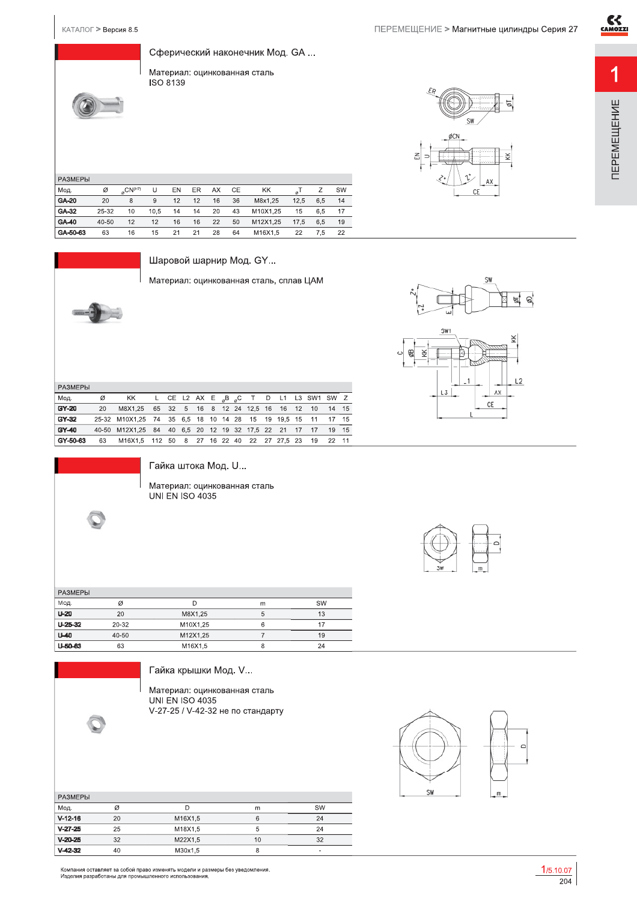$CE$ 

KK



| Сферический наконечник Мод. GA |  |
|--------------------------------|--|
|                                |  |

Материал: оцинкованная сталь ISO 8139



| <b>РАЗМЕРЫ</b> |       |                                |      |    |    |    |    |          |      |     |    |
|----------------|-------|--------------------------------|------|----|----|----|----|----------|------|-----|----|
| Мод.           | Ø     | $_{\alpha}$ CN <sup>(H7)</sup> | U    | EN | ER | AX | CE | KK       | ø'   | Ζ   | SW |
| GA-20          | 20    | 8                              | 9    | 12 | 12 | 16 | 36 | M8x1.25  | 12.5 | 6.5 | 14 |
| GA-32          | 25-32 | 10                             | 10.5 | 14 | 14 | 20 | 43 | M10X1.25 | 15   | 6.5 | 17 |
| GA-40          | 40-50 | 12                             | 12   | 16 | 16 | 22 | 50 | M12X1.25 | 17.5 | 6.5 | 19 |
| GA-50-63       | 63    | 16                             | 15   | 21 | 21 | 28 | 64 | M16X1.5  | 22   | 7.5 | 22 |



Шаровой шарнир Мод. GY...

Материал: оцинкованная сталь, сплав ЦАМ

| <b>РАЗМЕРЫ</b> |       |                                      |     |    |                              |    |    |    |    |                            |    |         |    |             |    |    |
|----------------|-------|--------------------------------------|-----|----|------------------------------|----|----|----|----|----------------------------|----|---------|----|-------------|----|----|
| Мод.           | Ø     | KK                                   | L.  |    | CE L2 AX E $_{a}$ B $_{a}$ C |    |    |    |    | $\top$                     | D  | L1      |    | L3 SW1 SW Z |    |    |
| GY-20          | 20    | M8X1.25                              | 65  | 32 | 5                            | 16 | 8  |    |    | 12 24 12.5 16              |    | 16      | 12 | 10          | 14 | 15 |
| GY-32          |       | 25-32 M10X1,25 74 35 6,5 18 10 14 28 |     |    |                              |    |    |    |    | - 15                       | 19 | 19.5 15 |    | 11          | 17 | 15 |
| GY-40          | 40-50 | M12X1,25 84                          |     |    |                              |    |    |    |    | 40 6.5 20 12 19 32 17.5 22 |    | 21      | 17 | 17          | 19 | 15 |
| GY-50-63       | 63    | M16X1.5                              | 112 | 50 | 8                            | 27 | 16 | 22 | 40 | 22                         | 27 | 27.5 23 |    | 19          | 22 | 11 |



Гайка штока Мод. U...

Материал: оцинкованная сталь **UNI EN ISO 4035** 



| <b>РАЗМЕРЫ</b> |           |          |    |    |
|----------------|-----------|----------|----|----|
| Мод.           | Ø         |          | m  | SW |
| $U-20$         | 20        | M8X1,25  | ۰. | 13 |
| $U-25-32$      | $20 - 32$ | M10X1.25 | 6  |    |
| $U=40$         | 40-50     | M12X1,25 |    | 19 |
| U-50-63        | 63        | M16X1,5  | 8  | 24 |

Гайка крышки Мод. V...

Материал: оцинкованная сталь **UNI EN ISO 4035** V-27-25 / V-42-32 не по стандарту

| <b>РАЗМЕРЫ</b> |    |         |    |    |
|----------------|----|---------|----|----|
| Мод.           | Ø  | D       | m  | SW |
| $V-12-16$      | 20 | M16X1.5 | 6  | 24 |
| $V-27-25$      | 25 | M18X1.5 | 5  | 24 |
| $V-20-25$      | 32 | M22X1.5 | 10 | 32 |
| $V-42-32$      | 40 | M30x1.5 | 8  | ۰  |